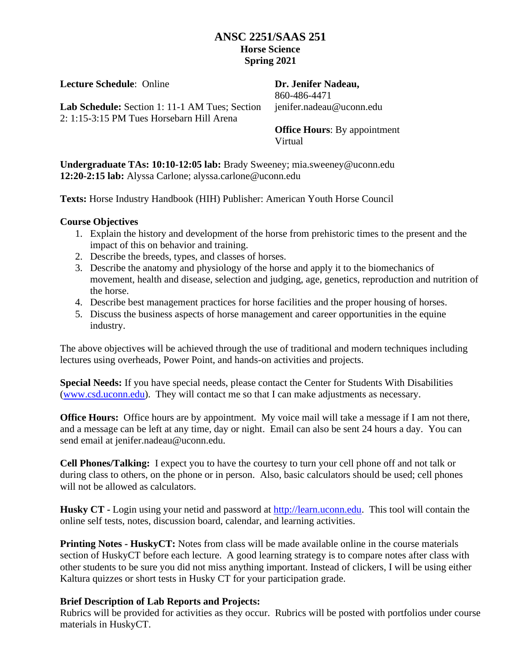## **ANSC 2251/SAAS 251 Horse Science Spring 2021**

**Lecture Schedule**: Online

**Dr. Jenifer Nadeau,**  860-486-4471 jenifer.nadeau@uconn.edu

**Lab Schedule:** Section 1: 11-1 AM Tues; Section 2: 1:15-3:15 PM Tues Horsebarn Hill Arena

**Office Hours**: By appointment Virtual

**Undergraduate TAs: 10:10-12:05 lab:** Brady Sweeney; mia.sweeney@uconn.edu **12:20-2:15 lab:** Alyssa Carlone; alyssa.carlone@uconn.edu

**Texts:** Horse Industry Handbook (HIH) Publisher: American Youth Horse Council

#### **Course Objectives**

- 1. Explain the history and development of the horse from prehistoric times to the present and the impact of this on behavior and training.
- 2. Describe the breeds, types, and classes of horses.
- 3. Describe the anatomy and physiology of the horse and apply it to the biomechanics of movement, health and disease, selection and judging, age, genetics, reproduction and nutrition of the horse.
- 4. Describe best management practices for horse facilities and the proper housing of horses.
- 5. Discuss the business aspects of horse management and career opportunities in the equine industry.

The above objectives will be achieved through the use of traditional and modern techniques including lectures using overheads, Power Point, and hands-on activities and projects.

**Special Needs:** If you have special needs, please contact the Center for Students With Disabilities [\(www.csd.uconn.edu\)](http://www.csd.uconn.edu/). They will contact me so that I can make adjustments as necessary.

**Office Hours:** Office hours are by appointment. My voice mail will take a message if I am not there, and a message can be left at any time, day or night. Email can also be sent 24 hours a day. You can send email at jenifer.nadeau@uconn.edu.

**Cell Phones/Talking:** I expect you to have the courtesy to turn your cell phone off and not talk or during class to others, on the phone or in person. Also, basic calculators should be used; cell phones will not be allowed as calculators.

**Husky CT -** Login using your netid and password at [http://learn.uconn.edu.](http://learn.uconn.edu/) This tool will contain the online self tests, notes, discussion board, calendar, and learning activities.

**Printing Notes - HuskyCT:** Notes from class will be made available online in the course materials section of HuskyCT before each lecture. A good learning strategy is to compare notes after class with other students to be sure you did not miss anything important. Instead of clickers, I will be using either Kaltura quizzes or short tests in Husky CT for your participation grade.

### **Brief Description of Lab Reports and Projects:**

Rubrics will be provided for activities as they occur. Rubrics will be posted with portfolios under course materials in HuskyCT.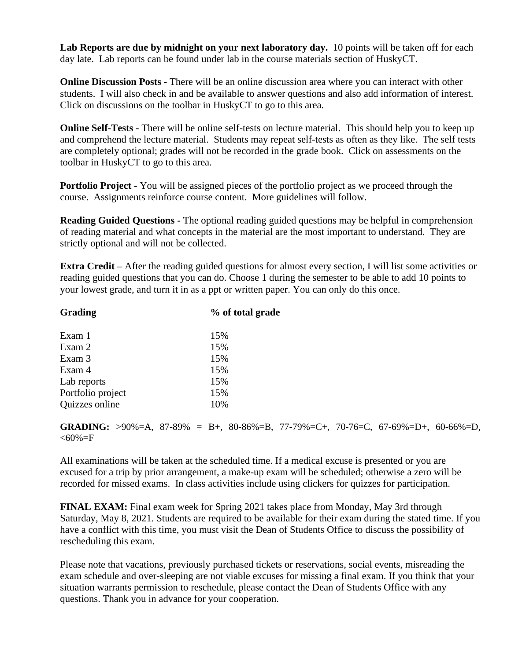**Lab Reports are due by midnight on your next laboratory day.** 10 points will be taken off for each day late. Lab reports can be found under lab in the course materials section of HuskyCT.

**Online Discussion Posts -** There will be an online discussion area where you can interact with other students. I will also check in and be available to answer questions and also add information of interest. Click on discussions on the toolbar in HuskyCT to go to this area.

**Online Self-Tests** - There will be online self-tests on lecture material. This should help you to keep up and comprehend the lecture material. Students may repeat self-tests as often as they like. The self tests are completely optional; grades will not be recorded in the grade book. Click on assessments on the toolbar in HuskyCT to go to this area.

**Portfolio Project -** You will be assigned pieces of the portfolio project as we proceed through the course. Assignments reinforce course content. More guidelines will follow.

**Reading Guided Questions -** The optional reading guided questions may be helpful in comprehension of reading material and what concepts in the material are the most important to understand. They are strictly optional and will not be collected.

**Extra Credit** – After the reading guided questions for almost every section, I will list some activities or reading guided questions that you can do. Choose 1 during the semester to be able to add 10 points to your lowest grade, and turn it in as a ppt or written paper. You can only do this once.

| Grading           | % of total grade |
|-------------------|------------------|
| Exam 1            | 15%              |
| Exam 2            | 15%              |
| Exam 3            | 15%              |
| Exam 4            | 15%              |
| Lab reports       | 15%              |
| Portfolio project | 15%              |
| Quizzes online    | 10%              |

**GRADING:** >90%=A, 87-89% = B+, 80-86%=B, 77-79%=C+, 70-76=C, 67-69%=D+, 60-66%=D,  $<\!\!60\!\%=\!\!F$ 

All examinations will be taken at the scheduled time. If a medical excuse is presented or you are excused for a trip by prior arrangement, a make-up exam will be scheduled; otherwise a zero will be recorded for missed exams. In class activities include using clickers for quizzes for participation.

**FINAL EXAM:** Final exam week for Spring 2021 takes place from Monday, May 3rd through Saturday, May 8, 2021. Students are required to be available for their exam during the stated time. If you have a conflict with this time, you must visit the Dean of Students Office to discuss the possibility of rescheduling this exam.

Please note that vacations, previously purchased tickets or reservations, social events, misreading the exam schedule and over-sleeping are not viable excuses for missing a final exam. If you think that your situation warrants permission to reschedule, please contact the Dean of Students Office with any questions. Thank you in advance for your cooperation.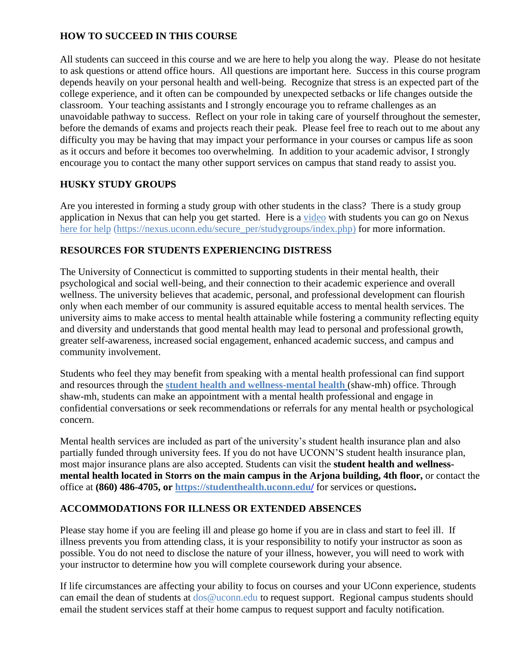## **HOW TO SUCCEED IN THIS COURSE**

All students can succeed in this course and we are here to help you along the way. Please do not hesitate to ask questions or attend office hours. All questions are important here. Success in this course program depends heavily on your personal health and well-being. Recognize that stress is an expected part of the college experience, and it often can be compounded by unexpected setbacks or life changes outside the classroom. Your teaching assistants and I strongly encourage you to reframe challenges as an unavoidable pathway to success. Reflect on your role in taking care of yourself throughout the semester, before the demands of exams and projects reach their peak. Please feel free to reach out to me about any difficulty you may be having that may impact your performance in your courses or campus life as soon as it occurs and before it becomes too overwhelming. In addition to your academic advisor, I strongly encourage you to contact the many other support services on campus that stand ready to assist you.

## **HUSKY STUDY GROUPS**

Are you interested in forming a study group with other students in the class? There is a study group application in Nexus that can help you get started. Here is a [video](https://nexus.uconn.edu/secure_per/studygroups/video.php) with students you can go on Nexus [here](https://login.uconn.edu/cas/login?service=https%3a%2f%2fnexus.uconn.edu%2fsecure_per%2fstudygroups%2findex.php) for help [\(https://nexus.uconn.edu/secure\\_per/studygroups/index.php\)](https://nexus.uconn.edu/secure_per/studygroups/index.php) for more information.

### **RESOURCES FOR STUDENTS EXPERIENCING DISTRESS**

The University of Connecticut is committed to supporting students in their mental health, their psychological and social well-being, and their connection to their academic experience and overall wellness. The university believes that academic, personal, and professional development can flourish only when each member of our community is assured equitable access to mental health services. The university aims to make access to mental health attainable while fostering a community reflecting equity and diversity and understands that good mental health may lead to personal and professional growth, greater self-awareness, increased social engagement, enhanced academic success, and campus and community involvement.

Students who feel they may benefit from speaking with a mental health professional can find support and resources through th[e](https://counseling.uconn.edu/) **[student health and wellness-mental health](https://counseling.uconn.edu/)** (shaw-mh) office. Through shaw-mh, students can make an appointment with a mental health professional and engage in confidential conversations or seek recommendations or referrals for any mental health or psychological concern.

Mental health services are included as part of the university's student health insurance plan and also partially funded through university fees. If you do not have UCONN'S student health insurance plan, most major insurance plans are also accepted. Students can visit the **student health and wellnessmental health located in Storrs on the main campus in the Arjona building, 4th floor, or contact the** office at **(860) 486-4705, or [https://studenthealth.uconn.edu/](https://nam10.safelinks.protection.outlook.com/?url=https%3A%2F%2Fcounseling.uconn.edu%2F&data=02%7C01%7Csuzanne.lafleur%40uconn.edu%7C8de70653941b46a391c008d82eaa9de5%7C17f1a87e2a254eaab9df9d439034b080%7C0%7C0%7C637310657616301680&sdata=sV755zd9%2F4RCEkS3OHYwdjGjGkZRLNVdHklZLtnhHSI%3D&reserved=0)** for services or questions**.**

### **ACCOMMODATIONS FOR ILLNESS OR EXTENDED ABSENCES**

Please stay home if you are feeling ill and please go home if you are in class and start to feel ill. If illness prevents you from attending class, it is your responsibility to notify your instructor as soon as possible. You do not need to disclose the nature of your illness, however, you will need to work with your instructor to determine how you will complete coursework during your absence.

If life circumstances are affecting your ability to focus on courses and your UConn experience, students can email the dean of students at  $\cos @$  uconn.edu to request support. Regional campus students should email the student services staff at their home campus to request support and faculty notification.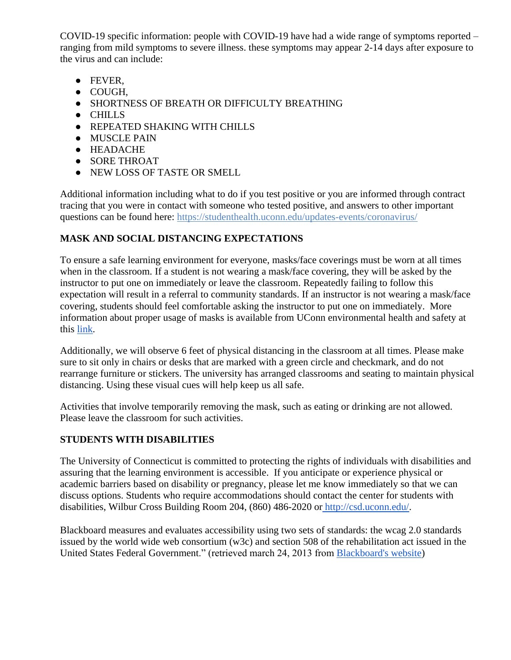COVID-19 specific information: people with COVID-19 have had a wide range of symptoms reported – ranging from mild symptoms to severe illness. these symptoms may appear 2-14 days after exposure to the virus and can include:

- FEVER,
- COUGH,
- SHORTNESS OF BREATH OR DIFFICULTY BREATHING
- CHILLS
- REPEATED SHAKING WITH CHILLS
- MUSCLE PAIN
- HEADACHE
- SORE THROAT
- NEW LOSS OF TASTE OR SMELL

Additional information including what to do if you test positive or you are informed through contract tracing that you were in contact with someone who tested positive, and answers to other important questions can be found here: <https://studenthealth.uconn.edu/updates-events/coronavirus/>

## **MASK AND SOCIAL DISTANCING EXPECTATIONS**

To ensure a safe learning environment for everyone, masks/face coverings must be worn at all times when in the classroom. If a student is not wearing a mask/face covering, they will be asked by the instructor to put one on immediately or leave the classroom. Repeatedly failing to follow this expectation will result in a referral to community standards. If an instructor is not wearing a mask/face covering, students should feel comfortable asking the instructor to put one on immediately. More information about proper usage of masks is available from UConn environmental health and safety at this [link.](https://nam10.safelinks.protection.outlook.com/?url=https%3A%2F%2Fehs.uconn.edu%2Fwp-content%2Fuploads%2Fsites%2F1131%2F2020%2F06%2FFace-Covering-Handout.pdf&data=02%7C01%7Csuzanne.lafleur%40uconn.edu%7C8c9c7ca47873426a155908d833befa93%7C17f1a87e2a254eaab9df9d439034b080%7C0%7C0%7C637316242638468033&sdata=YIInfLw75o3ooMOpdKO4PN6R9PgfWUXXfMu%2B4NTA4Xw%3D&reserved=0)

Additionally, we will observe 6 feet of physical distancing in the classroom at all times. Please make sure to sit only in chairs or desks that are marked with a green circle and checkmark, and do not rearrange furniture or stickers. The university has arranged classrooms and seating to maintain physical distancing. Using these visual cues will help keep us all safe.

Activities that involve temporarily removing the mask, such as eating or drinking are not allowed. Please leave the classroom for such activities.

# **STUDENTS WITH DISABILITIES**

The University of Connecticut is committed to protecting the rights of individuals with disabilities and assuring that the learning environment is accessible. If you anticipate or experience physical or academic barriers based on disability or pregnancy, please let me know immediately so that we can discuss options. Students who require accommodations should contact the center for students with disabilities, Wilbur Cross Building Room 204, (860) 486-2020 or [http://csd.uconn.edu/.](http://csd.uconn.edu/)

Blackboard measures and evaluates accessibility using two sets of standards: the wcag 2.0 standards issued by the world wide web consortium (w3c) and section 508 of the rehabilitation act issued in the United States Federal Government." (retrieved march 24, 2013 from [Blackboard's website\)](http://www.blackboard.com/platforms/learn/resources/accessibility.aspx)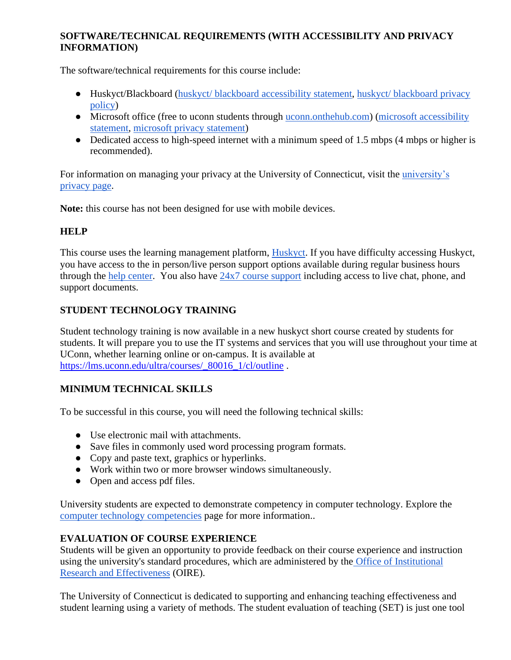## **SOFTWARE/TECHNICAL REQUIREMENTS (WITH ACCESSIBILITY AND PRIVACY INFORMATION)**

The software/technical requirements for this course include:

- Huskyct/Blackboard [\(huskyct/ blackboard accessibility statement,](http://www.blackboard.com/Platforms/Learn/Resources/Accessibility.aspx) [huskyct/ blackboard privacy](http://www.blackboard.com/footer/privacy-policy.aspx)  [policy\)](http://www.blackboard.com/footer/privacy-policy.aspx)
- Microsoft office (free to uconn students through <u>uconn.onthehub.com</u>) (microsoft accessibility [statement,](http://www.microsoft.com/enable/microsoft/mission.aspx) [microsoft privacy statement\)](https://privacy.microsoft.com/en-us/privacystatement/)
- Dedicated access to high-speed internet with a minimum speed of 1.5 mbps (4 mbps or higher is recommended).

For information on managing your privacy at the University of Connecticut, visit the [university's](https://privacy.uconn.edu/)  [privacy page.](https://privacy.uconn.edu/)

**Note:** this course has not been designed for use with mobile devices.

## **HELP**

This course uses the learning management platform, [Huskyct.](http://huskyct.uconn.edu/) If you have difficulty accessing Huskyct, you have access to the in person/live person support options available during regular business hours through the [help center.](http://helpcenter.uconn.edu/) You also have [24x7 course support](http://www.ecampus24x7.uconn.edu/) including access to live chat, phone, and support documents.

## **STUDENT TECHNOLOGY TRAINING**

Student technology training is now available in a new huskyct short course created by students for students. It will prepare you to use the IT systems and services that you will use throughout your time at UConn, whether learning online or on-campus. It is available at [https://lms.uconn.edu/ultra/courses/\\_80016\\_1/cl/outline](https://lms.uconn.edu/ultra/courses/_80016_1/cl/outline) .

### **MINIMUM TECHNICAL SKILLS**

To be successful in this course, you will need the following technical skills:

- Use electronic mail with attachments.
- Save files in commonly used word processing program formats.
- Copy and paste text, graphics or hyperlinks.
- Work within two or more browser windows simultaneously.
- Open and access pdf files.

University students are expected to demonstrate competency in computer technology. Explore the [computer technology competencies](http://geoc.uconn.edu/computer-technology-competency/) page for more information..

### **EVALUATION OF COURSE EXPERIENCE**

Students will be given an opportunity to provide feedback on their course experience and instruction using the university's standard procedures, which are administered by the [Office of Institutional](http://www.oire.uconn.edu/)  [Research and Effectiveness](http://www.oire.uconn.edu/) (OIRE).

The University of Connecticut is dedicated to supporting and enhancing teaching effectiveness and student learning using a variety of methods. The student evaluation of teaching (SET) is just one tool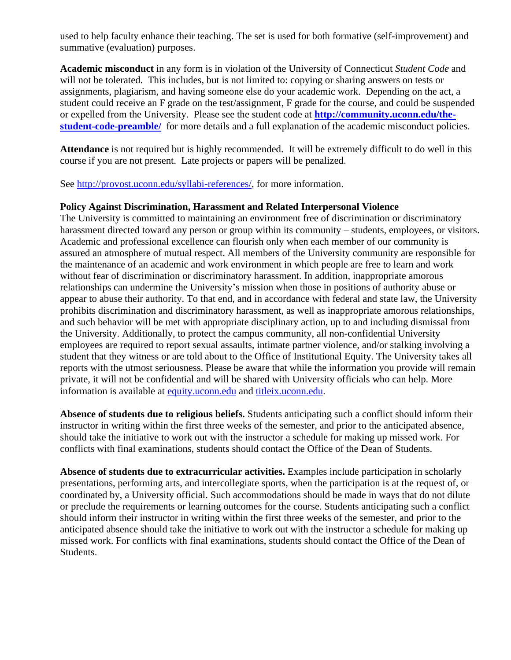used to help faculty enhance their teaching. The set is used for both formative (self-improvement) and summative (evaluation) purposes.

**Academic misconduct** in any form is in violation of the University of Connecticut *Student Code* and will not be tolerated. This includes, but is not limited to: copying or sharing answers on tests or assignments, plagiarism, and having someone else do your academic work. Depending on the act, a student could receive an F grade on the test/assignment, F grade for the course, and could be suspended or expelled from the University. Please see the student code at **[http://community.uconn.edu/the](http://community.uconn.edu/the-student-code-preamble/)[student-code-preamble/](http://community.uconn.edu/the-student-code-preamble/)** for more details and a full explanation of the academic misconduct policies.

**Attendance** is not required but is highly recommended. It will be extremely difficult to do well in this course if you are not present. Late projects or papers will be penalized.

See [http://provost.uconn.edu/syllabi-references/,](http://provost.uconn.edu/syllabi-references/) for more information.

#### **Policy Against Discrimination, Harassment and Related Interpersonal Violence**

The University is committed to maintaining an environment free of discrimination or discriminatory harassment directed toward any person or group within its community – students, employees, or visitors. Academic and professional excellence can flourish only when each member of our community is assured an atmosphere of mutual respect. All members of the University community are responsible for the maintenance of an academic and work environment in which people are free to learn and work without fear of discrimination or discriminatory harassment. In addition, inappropriate amorous relationships can undermine the University's mission when those in positions of authority abuse or appear to abuse their authority. To that end, and in accordance with federal and state law, the University prohibits discrimination and discriminatory harassment, as well as inappropriate amorous relationships, and such behavior will be met with appropriate disciplinary action, up to and including dismissal from the University. Additionally, to protect the campus community, all non-confidential University employees are required to report sexual assaults, intimate partner violence, and/or stalking involving a student that they witness or are told about to the Office of Institutional Equity. The University takes all reports with the utmost seriousness. Please be aware that while the information you provide will remain private, it will not be confidential and will be shared with University officials who can help. More information is available at [equity.uconn.edu](http://equity.uconn.edu/) and [titleix.uconn.edu.](http://titleix.uconn.edu/)

**Absence of students due to religious beliefs.** Students anticipating such a conflict should inform their instructor in writing within the first three weeks of the semester, and prior to the anticipated absence, should take the initiative to work out with the instructor a schedule for making up missed work. For conflicts with final examinations, students should contact the Office of the Dean of Students.

**Absence of students due to extracurricular activities.** Examples include participation in scholarly presentations, performing arts, and intercollegiate sports, when the participation is at the request of, or coordinated by, a University official. Such accommodations should be made in ways that do not dilute or preclude the requirements or learning outcomes for the course. Students anticipating such a conflict should inform their instructor in writing within the first three weeks of the semester, and prior to the anticipated absence should take the initiative to work out with the instructor a schedule for making up missed work. For conflicts with final examinations, students should contact the Office of the Dean of Students.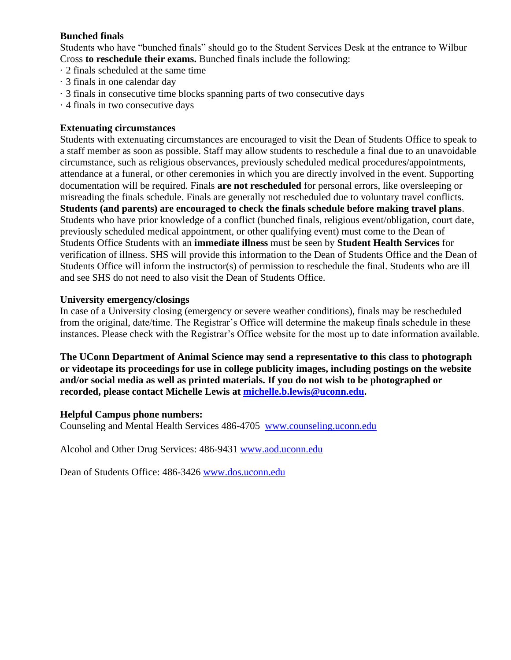## **Bunched finals**

Students who have "bunched finals" should go to the Student Services Desk at the entrance to Wilbur Cross **to reschedule their exams.** Bunched finals include the following:

- · 2 finals scheduled at the same time
- · 3 finals in one calendar day
- · 3 finals in consecutive time blocks spanning parts of two consecutive days
- · 4 finals in two consecutive days

#### **Extenuating circumstances**

Students with extenuating circumstances are encouraged to visit the Dean of Students Office to speak to a staff member as soon as possible. Staff may allow students to reschedule a final due to an unavoidable circumstance, such as religious observances, previously scheduled medical procedures/appointments, attendance at a funeral, or other ceremonies in which you are directly involved in the event. Supporting documentation will be required. Finals **are not rescheduled** for personal errors, like oversleeping or misreading the finals schedule. Finals are generally not rescheduled due to voluntary travel conflicts. **Students (and parents) are encouraged to check the finals schedule before making travel plans**. Students who have prior knowledge of a conflict (bunched finals, religious event/obligation, court date, previously scheduled medical appointment, or other qualifying event) must come to the Dean of Students Office Students with an **immediate illness** must be seen by **Student Health Services** for verification of illness. SHS will provide this information to the Dean of Students Office and the Dean of Students Office will inform the instructor(s) of permission to reschedule the final. Students who are ill and see SHS do not need to also visit the Dean of Students Office.

#### **University emergency/closings**

In case of a University closing (emergency or severe weather conditions), finals may be rescheduled from the original, date/time. The Registrar's Office will determine the makeup finals schedule in these instances. Please check with the Registrar's Office website for the most up to date information available.

**The UConn Department of Animal Science may send a representative to this class to photograph or videotape its proceedings for use in college publicity images, including postings on the website and/or social media as well as printed materials. If you do not wish to be photographed or recorded, please contact Michelle Lewis at [michelle.b.lewis@uconn.edu.](mailto:Michelle.B.Lewis@UConn.edu)**

#### **Helpful Campus phone numbers:**

Counseling and Mental Health Services 486-4705 [www.counseling.uconn.edu](http://www.counseling.uconn.edu/)

Alcohol and Other Drug Services: 486-9431 [www.aod.uconn.edu](http://www.aod.uconn.edu/)

Dean of Students Office: 486-3426 [www.dos.uconn.edu](http://www.dos.uconn.edu/)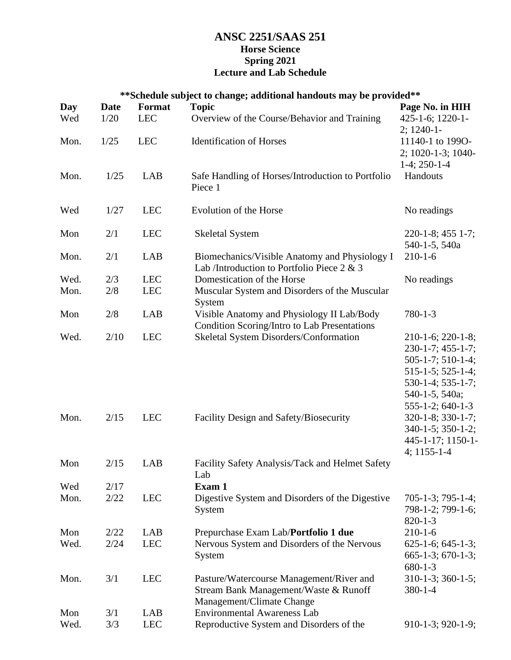## **ANSC 2251/SAAS 251 Horse Science Spring 2021 Lecture and Lab Schedule**

| **Schedule subject to change; additional handouts may be provided** |             |            |                                                                                                                |                                                                                                                                                                  |
|---------------------------------------------------------------------|-------------|------------|----------------------------------------------------------------------------------------------------------------|------------------------------------------------------------------------------------------------------------------------------------------------------------------|
| Day                                                                 | <b>Date</b> | Format     | <b>Topic</b>                                                                                                   | Page No. in HIH                                                                                                                                                  |
| Wed                                                                 | 1/20        | <b>LEC</b> | Overview of the Course/Behavior and Training                                                                   | 425-1-6; 1220-1-<br>$2; 1240-1$                                                                                                                                  |
| Mon.                                                                | 1/25        | <b>LEC</b> | <b>Identification of Horses</b>                                                                                | 11140-1 to 1990-<br>2; 1020-1-3; 1040-<br>$1-4$ ; 250-1-4                                                                                                        |
| Mon.                                                                | 1/25        | LAB        | Safe Handling of Horses/Introduction to Portfolio<br>Piece 1                                                   | Handouts                                                                                                                                                         |
| Wed                                                                 | 1/27        | <b>LEC</b> | Evolution of the Horse                                                                                         | No readings                                                                                                                                                      |
| Mon                                                                 | 2/1         | <b>LEC</b> | <b>Skeletal System</b>                                                                                         | 220-1-8; 455 1-7;<br>540-1-5, 540a                                                                                                                               |
| Mon.                                                                | 2/1         | LAB        | Biomechanics/Visible Anatomy and Physiology I<br>Lab /Introduction to Portfolio Piece 2 & 3                    | $210 - 1 - 6$                                                                                                                                                    |
| Wed.                                                                | 2/3         | <b>LEC</b> | Domestication of the Horse                                                                                     | No readings                                                                                                                                                      |
| Mon.                                                                | 2/8         | <b>LEC</b> | Muscular System and Disorders of the Muscular                                                                  |                                                                                                                                                                  |
|                                                                     |             |            | System                                                                                                         |                                                                                                                                                                  |
| Mon                                                                 | 2/8         | LAB        | Visible Anatomy and Physiology II Lab/Body<br>Condition Scoring/Intro to Lab Presentations                     | $780 - 1 - 3$                                                                                                                                                    |
| Wed.                                                                | 2/10        | <b>LEC</b> | Skeletal System Disorders/Conformation                                                                         | $210-1-6$ ; $220-1-8$ ;<br>230-1-7; 455-1-7;<br>$505-1-7; 510-1-4;$<br>$515-1-5$ ; $525-1-4$ ;<br>530-1-4; 535-1-7;<br>540-1-5, 540a;<br>$555 - 1 - 2$ ; 640-1-3 |
| Mon.                                                                | 2/15        | <b>LEC</b> | Facility Design and Safety/Biosecurity                                                                         | 320-1-8; 330-1-7;<br>340-1-5; 350-1-2;<br>445-1-17; 1150-1-<br>$4:1155-1-4$                                                                                      |
| Mon                                                                 | 2/15        | LAB        | Facility Safety Analysis/Tack and Helmet Safety<br>Lab                                                         |                                                                                                                                                                  |
| Wed                                                                 | 2/17        |            | Exam 1                                                                                                         |                                                                                                                                                                  |
| Mon.                                                                | 2/22        | <b>LEC</b> | Digestive System and Disorders of the Digestive<br>System                                                      | $705-1-3$ ; $795-1-4$ ;<br>798-1-2; 799-1-6;<br>$820 - 1 - 3$                                                                                                    |
| Mon                                                                 | 2/22        | LAB        | Prepurchase Exam Lab/Portfolio 1 due                                                                           | $210 - 1 - 6$                                                                                                                                                    |
| Wed.                                                                | 2/24        | <b>LEC</b> | Nervous System and Disorders of the Nervous<br>System                                                          | $625-1-6$ ; $645-1-3$ ;<br>$665-1-3$ ; $670-1-3$ ;<br>$680 - 1 - 3$                                                                                              |
| Mon.                                                                | 3/1         | <b>LEC</b> | Pasture/Watercourse Management/River and<br>Stream Bank Management/Waste & Runoff<br>Management/Climate Change | $310-1-3$ ; 360-1-5;<br>$380 - 1 - 4$                                                                                                                            |
| Mon                                                                 | 3/1         | LAB        | <b>Environmental Awareness Lab</b>                                                                             |                                                                                                                                                                  |
| Wed.                                                                | 3/3         | <b>LEC</b> | Reproductive System and Disorders of the                                                                       | $910-1-3$ ; $920-1-9$ ;                                                                                                                                          |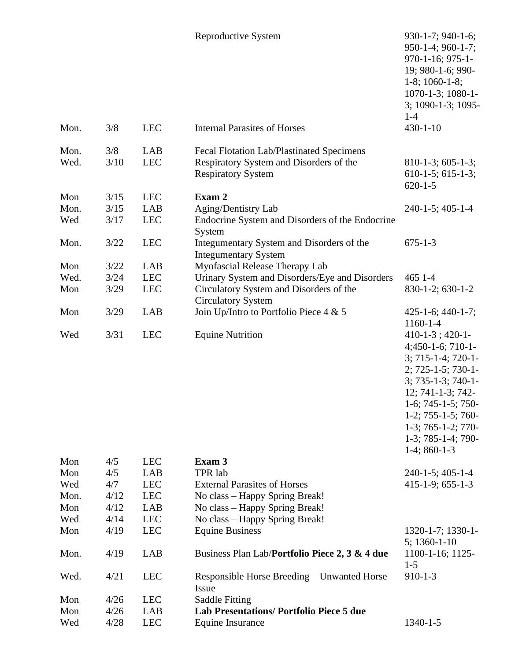|              |             |                   | Reproductive System                                                                                               | 930-1-7; 940-1-6;<br>950-1-4; 960-1-7;<br>970-1-16; 975-1-<br>19; 980-1-6; 990-<br>$1-8$ ; $1060-1-8$ ;<br>1070-1-3; 1080-1-<br>3; 1090-1-3; 1095-<br>$1 - 4$                                                                                               |
|--------------|-------------|-------------------|-------------------------------------------------------------------------------------------------------------------|-------------------------------------------------------------------------------------------------------------------------------------------------------------------------------------------------------------------------------------------------------------|
| Mon.         | 3/8         | <b>LEC</b>        | <b>Internal Parasites of Horses</b>                                                                               | $430 - 1 - 10$                                                                                                                                                                                                                                              |
| Mon.<br>Wed. | 3/8<br>3/10 | LAB<br><b>LEC</b> | Fecal Flotation Lab/Plastinated Specimens<br>Respiratory System and Disorders of the<br><b>Respiratory System</b> | $810-1-3$ ; 605-1-3;<br>$610-1-5$ ; 615-1-3;<br>$620 - 1 - 5$                                                                                                                                                                                               |
| Mon          | 3/15        | <b>LEC</b>        | Exam 2                                                                                                            |                                                                                                                                                                                                                                                             |
| Mon.         | 3/15        | LAB               | Aging/Dentistry Lab                                                                                               | 240-1-5; 405-1-4                                                                                                                                                                                                                                            |
| Wed          | 3/17        | <b>LEC</b>        | Endocrine System and Disorders of the Endocrine<br>System                                                         |                                                                                                                                                                                                                                                             |
| Mon.         | 3/22        | <b>LEC</b>        | Integumentary System and Disorders of the<br><b>Integumentary System</b>                                          | $675 - 1 - 3$                                                                                                                                                                                                                                               |
| Mon          | 3/22        | LAB               | Myofascial Release Therapy Lab                                                                                    |                                                                                                                                                                                                                                                             |
| Wed.         | 3/24        | <b>LEC</b>        | Urinary System and Disorders/Eye and Disorders                                                                    | 465 1-4                                                                                                                                                                                                                                                     |
| Mon          | 3/29        | <b>LEC</b>        | Circulatory System and Disorders of the<br><b>Circulatory System</b>                                              | $830-1-2$ ; 630-1-2                                                                                                                                                                                                                                         |
| Mon          | 3/29        | LAB               | Join Up/Intro to Portfolio Piece $4 & 5$                                                                          | $425 - 1 - 6$ ; $440 - 1 - 7$ ;<br>$1160 - 1 - 4$                                                                                                                                                                                                           |
| Wed          | 3/31        | <b>LEC</b>        | <b>Equine Nutrition</b>                                                                                           | $410-1-3$ ; $420-1-$<br>$4;450-1-6;710-1-$<br>$3; 715 - 1 - 4; 720 - 1 -$<br>2; 725-1-5; 730-1-<br>3; 735-1-3; 740-1-<br>12; 741-1-3; 742-<br>1-6; 745-1-5; 750-<br>1-2; 755-1-5; 760-<br>$1-3$ ; 765-1-2; 770-<br>$1-3$ ; 785-1-4; 790-<br>$1-4$ ; 860-1-3 |
| Mon          | 4/5         | <b>LEC</b>        | Exam 3                                                                                                            |                                                                                                                                                                                                                                                             |
| Mon          | 4/5         | LAB               | TPR lab                                                                                                           | 240-1-5; 405-1-4                                                                                                                                                                                                                                            |
| Wed          | 4/7         | <b>LEC</b>        | <b>External Parasites of Horses</b>                                                                               | $415-1-9$ ; 655-1-3                                                                                                                                                                                                                                         |
| Mon.         | 4/12        | <b>LEC</b>        | No class – Happy Spring Break!                                                                                    |                                                                                                                                                                                                                                                             |
| Mon          | 4/12        | LAB               | No class – Happy Spring Break!                                                                                    |                                                                                                                                                                                                                                                             |
| Wed          | 4/14        | <b>LEC</b>        | No class – Happy Spring Break!                                                                                    |                                                                                                                                                                                                                                                             |
| Mon          | 4/19        | <b>LEC</b>        | <b>Equine Business</b>                                                                                            | 1320-1-7; 1330-1-                                                                                                                                                                                                                                           |
| Mon.         | 4/19        | LAB               | Business Plan Lab/Portfolio Piece 2, 3 & 4 due                                                                    | $5; 1360 - 1 - 10$<br>1100-1-16; 1125-                                                                                                                                                                                                                      |
| Wed.         | 4/21        | <b>LEC</b>        | Responsible Horse Breeding – Unwanted Horse<br>Issue                                                              | $1 - 5$<br>$910 - 1 - 3$                                                                                                                                                                                                                                    |
| Mon          | 4/26        | <b>LEC</b>        | <b>Saddle Fitting</b>                                                                                             |                                                                                                                                                                                                                                                             |
| Mon          | 4/26        | LAB               | <b>Lab Presentations/ Portfolio Piece 5 due</b>                                                                   |                                                                                                                                                                                                                                                             |
| Wed          | 4/28        | <b>LEC</b>        | <b>Equine Insurance</b>                                                                                           | $1340 - 1 - 5$                                                                                                                                                                                                                                              |
|              |             |                   |                                                                                                                   |                                                                                                                                                                                                                                                             |